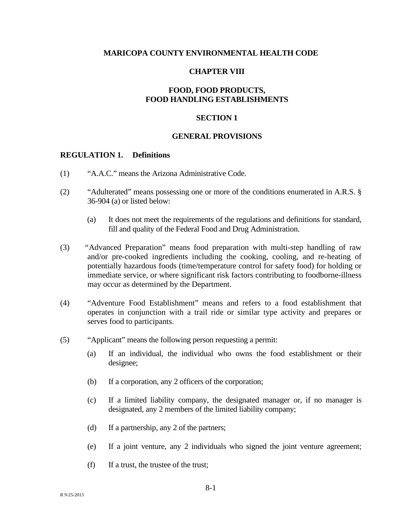#### **MARICOPA COUNTY ENVIRONMENTAL HEALTH CODE**

#### **CHAPTER VIII**

# **FOOD, FOOD PRODUCTS, FOOD HANDLING ESTABLISHMENTS**

### **SECTION 1**

#### **GENERAL PROVISIONS**

#### **REGULATION 1. Definitions**

- (1) "A.A.C." means the Arizona Administrative Code.
- (2) "Adulterated" means possessing one or more of the conditions enumerated in A.R.S. § 36-904 (a) or listed below:
	- (a) It does not meet the requirements of the regulations and definitions for standard, fill and quality of the Federal Food and Drug Administration.
- (3) *"*Advanced Preparation" means food preparation with multi-step handling of raw and/or pre-cooked ingredients including the cooking, cooling, and re-heating of potentially hazardous foods (time/temperature control for safety food) for holding or immediate service, or where significant risk factors contributing to foodborne-illness may occur as determined by the Department.
- (4) "Adventure Food Establishment" means and refers to a food establishment that operates in conjunction with a trail ride or similar type activity and prepares or serves food to participants.
- (5) "Applicant" means the following person requesting a permit:
	- (a) If an individual, the individual who owns the food establishment or their designee;
	- (b) If a corporation, any 2 officers of the corporation;
	- (c) If a limited liability company, the designated manager or, if no manager is designated, any 2 members of the limited liability company;
	- (d) If a partnership, any 2 of the partners;
	- (e) If a joint venture, any 2 individuals who signed the joint venture agreement;
	- $(f)$  If a trust, the trustee of the trust;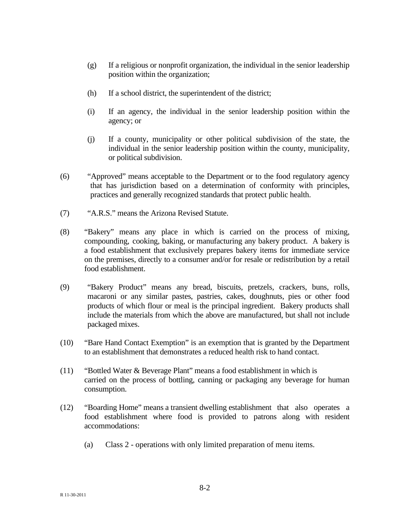- $(g)$  If a religious or nonprofit organization, the individual in the senior leadership position within the organization;
- (h) If a school district, the superintendent of the district;
- (i) If an agency, the individual in the senior leadership position within the agency; or
- (j) If a county, municipality or other political subdivision of the state, the individual in the senior leadership position within the county, municipality, or political subdivision.
- (6) "Approved" means acceptable to the Department or to the food regulatory agency that has jurisdiction based on a determination of conformity with principles, practices and generally recognized standards that protect public health.
- (7) "A.R.S." means the Arizona Revised Statute.
- (8) "Bakery" means any place in which is carried on the process of mixing, compounding, cooking, baking, or manufacturing any bakery product. A bakery is a food establishment that exclusively prepares bakery items for immediate service on the premises, directly to a consumer and/or for resale or redistribution by a retail food establishment.
- (9) "Bakery Product" means any bread, biscuits, pretzels, crackers, buns, rolls, macaroni or any similar pastes, pastries, cakes, doughnuts, pies or other food products of which flour or meal is the principal ingredient. Bakery products shall include the materials from which the above are manufactured, but shall not include packaged mixes.
- (10) "Bare Hand Contact Exemption" is an exemption that is granted by the Department to an establishment that demonstrates a reduced health risk to hand contact.
- (11) "Bottled Water & Beverage Plant" means a food establishment in which is carried on the process of bottling, canning or packaging any beverage for human consumption.
- (12) "Boarding Home" means a transient dwelling establishment that also operates a food establishment where food is provided to patrons along with resident accommodations:
	- (a) Class 2 operations with only limited preparation of menu items.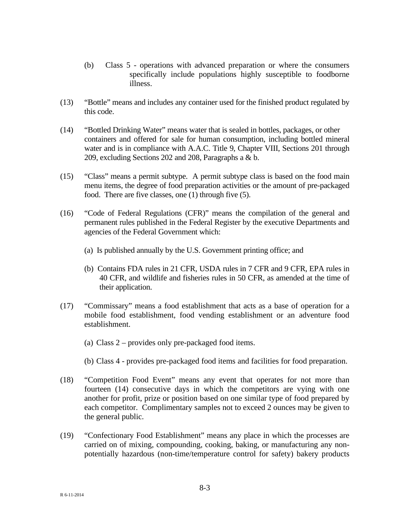- (b) Class 5 operations with advanced preparation or where the consumers specifically include populations highly susceptible to foodborne illness.
- (13) "Bottle" means and includes any container used for the finished product regulated by this code.
- (14) "Bottled Drinking Water" means water that is sealed in bottles, packages, or other containers and offered for sale for human consumption, including bottled mineral water and is in compliance with A.A.C. Title 9, Chapter VIII, Sections 201 through 209, excluding Sections 202 and 208, Paragraphs a & b.
- (15) "Class" means a permit subtype. A permit subtype class is based on the food main menu items, the degree of food preparation activities or the amount of pre-packaged food. There are five classes, one (1) through five (5).
- (16) "Code of Federal Regulations (CFR)" means the compilation of the general and permanent rules published in the Federal Register by the executive Departments and agencies of the Federal Government which:
	- (a) Is published annually by the U.S. Government printing office; and
	- (b) Contains FDA rules in 21 CFR, USDA rules in 7 CFR and 9 CFR, EPA rules in 40 CFR, and wildlife and fisheries rules in 50 CFR, as amended at the time of their application.
- (17) "Commissary" means a food establishment that acts as a base of operation for a mobile food establishment, food vending establishment or an adventure food establishment.
	- (a) Class 2 provides only pre-packaged food items.
	- (b) Class 4 provides pre-packaged food items and facilities for food preparation.
- (18) "Competition Food Event" means any event that operates for not more than fourteen (14) consecutive days in which the competitors are vying with one another for profit, prize or position based on one similar type of food prepared by each competitor. Complimentary samples not to exceed 2 ounces may be given to the general public.
- (19) "Confectionary Food Establishment" means any place in which the processes are carried on of mixing, compounding, cooking, baking, or manufacturing any nonpotentially hazardous (non-time/temperature control for safety) bakery products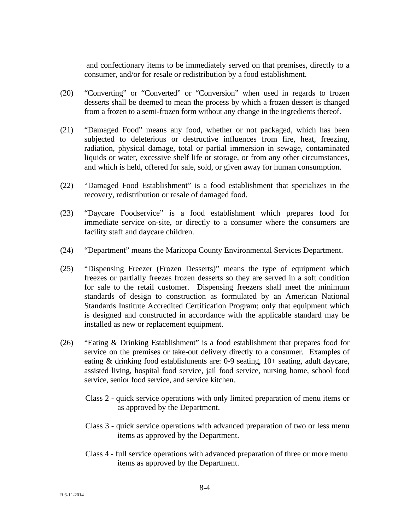and confectionary items to be immediately served on that premises, directly to a consumer, and/or for resale or redistribution by a food establishment.

- (20) "Converting" or "Converted" or "Conversion" when used in regards to frozen desserts shall be deemed to mean the process by which a frozen dessert is changed from a frozen to a semi-frozen form without any change in the ingredients thereof.
- (21) "Damaged Food" means any food, whether or not packaged, which has been subjected to deleterious or destructive influences from fire, heat, freezing, radiation, physical damage, total or partial immersion in sewage, contaminated liquids or water, excessive shelf life or storage, or from any other circumstances, and which is held, offered for sale, sold, or given away for human consumption.
- (22) "Damaged Food Establishment" is a food establishment that specializes in the recovery, redistribution or resale of damaged food.
- (23) "Daycare Foodservice" is a food establishment which prepares food for immediate service on-site, or directly to a consumer where the consumers are facility staff and daycare children.
- (24) "Department" means the Maricopa County Environmental Services Department.
- (25) "Dispensing Freezer (Frozen Desserts)" means the type of equipment which freezes or partially freezes frozen desserts so they are served in a soft condition for sale to the retail customer. Dispensing freezers shall meet the minimum standards of design to construction as formulated by an American National Standards Institute Accredited Certification Program; only that equipment which is designed and constructed in accordance with the applicable standard may be installed as new or replacement equipment.
- (26) "Eating & Drinking Establishment" is a food establishment that prepares food for service on the premises or take-out delivery directly to a consumer. Examples of eating & drinking food establishments are: 0-9 seating, 10+ seating, adult daycare, assisted living, hospital food service, jail food service, nursing home, school food service, senior food service, and service kitchen.
	- Class 2 quick service operations with only limited preparation of menu items or as approved by the Department.
	- Class 3 quick service operations with advanced preparation of two or less menu items as approved by the Department.
	- Class 4 full service operations with advanced preparation of three or more menu items as approved by the Department.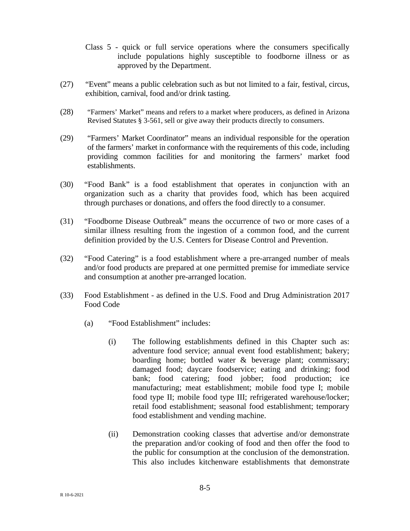Class 5 - quick or full service operations where the consumers specifically include populations highly susceptible to foodborne illness or as approved by the Department.

- (27) "Event" means a public celebration such as but not limited to a fair, festival, circus, exhibition, carnival, food and/or drink tasting.
- (28) "Farmers' Market" means and refers to a market where producers, as defined in Arizona Revised Statutes § 3-561, sell or give away their products directly to consumers.
- (29) "Farmers' Market Coordinator" means an individual responsible for the operation of the farmers' market in conformance with the requirements of this code, including providing common facilities for and monitoring the farmers' market food establishments.
- (30) "Food Bank" is a food establishment that operates in conjunction with an organization such as a charity that provides food, which has been acquired through purchases or donations, and offers the food directly to a consumer.
- (31) "Foodborne Disease Outbreak" means the occurrence of two or more cases of a similar illness resulting from the ingestion of a common food, and the current definition provided by the U.S. Centers for Disease Control and Prevention.
- (32) "Food Catering" is a food establishment where a pre-arranged number of meals and/or food products are prepared at one permitted premise for immediate service and consumption at another pre-arranged location.
- (33) Food Establishment as defined in the U.S. Food and Drug Administration 2017 Food Code
	- (a) "Food Establishment" includes:
		- (i) The following establishments defined in this Chapter such as: adventure food service; annual event food establishment; bakery; boarding home; bottled water & beverage plant; commissary; damaged food; daycare foodservice; eating and drinking; food bank; food catering; food jobber; food production; ice manufacturing; meat establishment; mobile food type I; mobile food type II; mobile food type III; refrigerated warehouse/locker; retail food establishment; seasonal food establishment; temporary food establishment and vending machine.
		- (ii) Demonstration cooking classes that advertise and/or demonstrate the preparation and/or cooking of food and then offer the food to the public for consumption at the conclusion of the demonstration. This also includes kitchenware establishments that demonstrate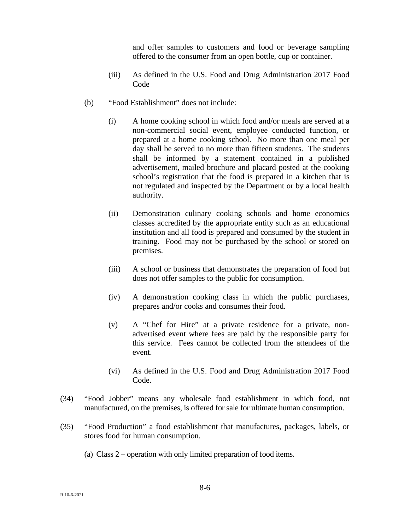and offer samples to customers and food or beverage sampling offered to the consumer from an open bottle, cup or container.

- (iii) As defined in the U.S. Food and Drug Administration 2017 Food Code
- (b) "Food Establishment" does not include:
	- (i) A home cooking school in which food and/or meals are served at a non-commercial social event, employee conducted function, or prepared at a home cooking school. No more than one meal per day shall be served to no more than fifteen students. The students shall be informed by a statement contained in a published advertisement, mailed brochure and placard posted at the cooking school's registration that the food is prepared in a kitchen that is not regulated and inspected by the Department or by a local health authority.
	- (ii) Demonstration culinary cooking schools and home economics classes accredited by the appropriate entity such as an educational institution and all food is prepared and consumed by the student in training. Food may not be purchased by the school or stored on premises.
	- (iii) A school or business that demonstrates the preparation of food but does not offer samples to the public for consumption.
	- (iv) A demonstration cooking class in which the public purchases, prepares and/or cooks and consumes their food.
	- (v) A "Chef for Hire" at a private residence for a private, nonadvertised event where fees are paid by the responsible party for this service. Fees cannot be collected from the attendees of the event.
	- (vi) As defined in the U.S. Food and Drug Administration 2017 Food Code.
- (34) "Food Jobber" means any wholesale food establishment in which food, not manufactured, on the premises, is offered for sale for ultimate human consumption.
- (35) "Food Production" a food establishment that manufactures, packages, labels, or stores food for human consumption.
	- (a) Class 2 operation with only limited preparation of food items.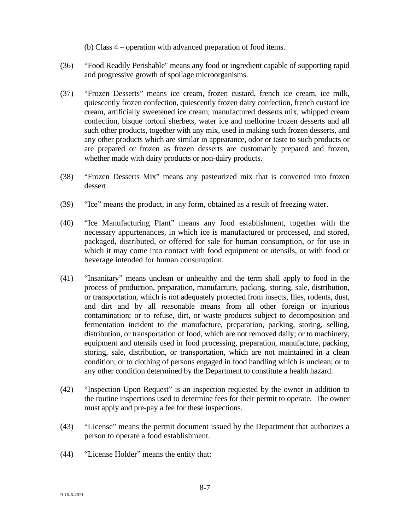(b) Class 4 – operation with advanced preparation of food items.

- (36) "Food Readily Perishable" means any food or ingredient capable of supporting rapid and progressive growth of spoilage microorganisms.
- (37) "Frozen Desserts" means ice cream, frozen custard, french ice cream, ice milk, quiescently frozen confection, quiescently frozen dairy confection, french custard ice cream, artificially sweetened ice cream, manufactured desserts mix, whipped cream confection, bisque tortoni sherbets, water ice and mellorine frozen desserts and all such other products, together with any mix, used in making such frozen desserts, and any other products which are similar in appearance, odor or taste to such products or are prepared or frozen as frozen desserts are customarily prepared and frozen, whether made with dairy products or non-dairy products.
- (38) "Frozen Desserts Mix" means any pasteurized mix that is converted into frozen dessert.
- (39) "Ice" means the product, in any form, obtained as a result of freezing water.
- (40) "Ice Manufacturing Plant" means any food establishment, together with the necessary appurtenances, in which ice is manufactured or processed, and stored, packaged, distributed, or offered for sale for human consumption, or for use in which it may come into contact with food equipment or utensils, or with food or beverage intended for human consumption.
- (41) "Insanitary" means unclean or unhealthy and the term shall apply to food in the process of production, preparation, manufacture, packing, storing, sale, distribution, or transportation, which is not adequately protected from insects, flies, rodents, dust, and dirt and by all reasonable means from all other foreign or injurious contamination; or to refuse, dirt, or waste products subject to decomposition and fermentation incident to the manufacture, preparation, packing, storing, selling, distribution, or transportation of food, which are not removed daily; or to machinery, equipment and utensils used in food processing, preparation, manufacture, packing, storing, sale, distribution, or transportation, which are not maintained in a clean condition; or to clothing of persons engaged in food handling which is unclean; or to any other condition determined by the Department to constitute a health hazard.
- (42) "Inspection Upon Request" is an inspection requested by the owner in addition to the routine inspections used to determine fees for their permit to operate. The owner must apply and pre-pay a fee for these inspections.
- (43) "License" means the permit document issued by the Department that authorizes a person to operate a food establishment.
- (44) "License Holder" means the entity that: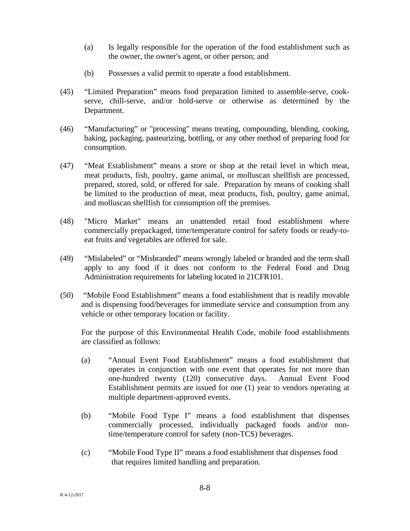- (a) Is legally responsible for the operation of the food establishment such as the owner, the owner's agent, or other person; and
- (b) Possesses a valid permit to operate a food establishment.
- (45) "Limited Preparation" means food preparation limited to assemble-serve, cookserve, chill-serve, and/or hold-serve or otherwise as determined by the Department.
- (46) "Manufacturing" or "processing" means treating, compounding, blending, cooking, baking, packaging, pasteurizing, bottling, or any other method of preparing food for consumption.
- (47) "Meat Establishment" means a store or shop at the retail level in which meat, meat products, fish, poultry, game animal, or molluscan shellfish are processed, prepared, stored, sold, or offered for sale. Preparation by means of cooking shall be limited to the production of meat, meat products, fish, poultry, game animal, and molluscan shellfish for consumption off the premises.
- (48) "Micro Market" means an unattended retail food establishment where commercially prepackaged, time/temperature control for safety foods or ready-toeat fruits and vegetables are offered for sale.
- (49) "Mislabeled" or "Misbranded" means wrongly labeled or branded and the term shall apply to any food if it does not conform to the Federal Food and Drug Administration requirements for labeling located in 21CFR101.
- (50) "Mobile Food Establishment" means a food establishment that is readily movable and is dispensing food/beverages for immediate service and consumption from any vehicle or other temporary location or facility.

For the purpose of this Environmental Health Code, mobile food establishments are classified as follows:

- (a) "Annual Event Food Establishment" means a food establishment that operates in conjunction with one event that operates for not more than one-hundred twenty (120) consecutive days. Annual Event Food Establishment permits are issued for one (1) year to vendors operating at multiple department-approved events.
- (b) "Mobile Food Type I" means a food establishment that dispenses commercially processed, individually packaged foods and/or nontime/temperature control for safety (non-TCS) beverages.
- (c) "Mobile Food Type II" means a food establishment that dispenses food that requires limited handling and preparation.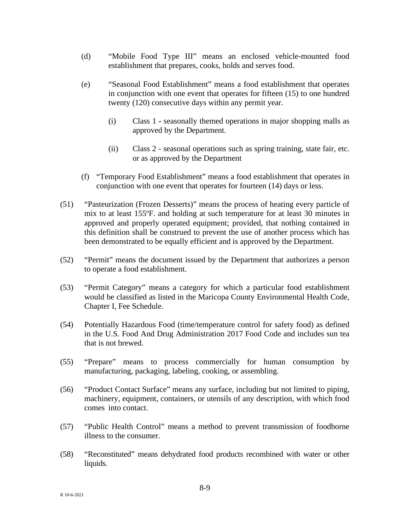- (d) "Mobile Food Type III" means an enclosed vehicle-mounted food establishment that prepares, cooks, holds and serves food.
- (e) "Seasonal Food Establishment" means a food establishment that operates in conjunction with one event that operates for fifteen (15) to one hundred twenty (120) consecutive days within any permit year.
	- (i) Class 1 **-** seasonally themed operations in major shopping malls as approved by the Department.
	- (ii) Class 2 seasonal operations such as spring training, state fair, etc. or as approved by the Department
- (f) "Temporary Food Establishment" means a food establishment that operates in conjunction with one event that operates for fourteen (14) days or less.
- (51) "Pasteurization (Frozen Desserts)" means the process of heating every particle of mix to at least 155ºF. and holding at such temperature for at least 30 minutes in approved and properly operated equipment; provided, that nothing contained in this definition shall be construed to prevent the use of another process which has been demonstrated to be equally efficient and is approved by the Department.
- (52) "Permit" means the document issued by the Department that authorizes a person to operate a food establishment.
- (53) "Permit Category" means a category for which a particular food establishment would be classified as listed in the Maricopa County Environmental Health Code, Chapter I, Fee Schedule.
- (54) Potentially Hazardous Food (time/temperature control for safety food) as defined in the U.S. Food And Drug Administration 2017 Food Code and includes sun tea that is not brewed.
- (55) "Prepare" means to process commercially for human consumption by manufacturing, packaging, labeling, cooking, or assembling.
- (56) "Product Contact Surface" means any surface, including but not limited to piping, machinery, equipment, containers, or utensils of any description, with which food comes into contact.
- (57) "Public Health Control" means a method to prevent transmission of foodborne illness to the consumer.
- (58) "Reconstituted" means dehydrated food products recombined with water or other liquids.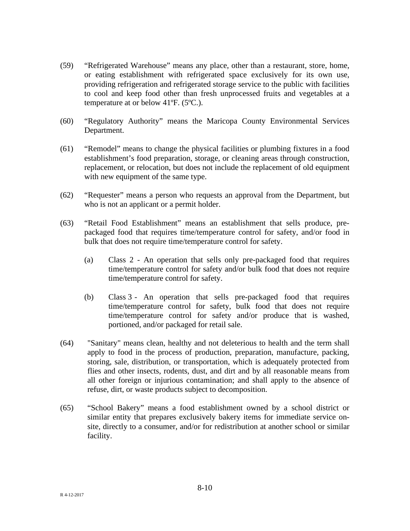- (59) "Refrigerated Warehouse" means any place, other than a restaurant, store, home, or eating establishment with refrigerated space exclusively for its own use, providing refrigeration and refrigerated storage service to the public with facilities to cool and keep food other than fresh unprocessed fruits and vegetables at a temperature at or below 41ºF. (5ºC.).
- (60) "Regulatory Authority" means the Maricopa County Environmental Services Department.
- (61) "Remodel" means to change the physical facilities or plumbing fixtures in a food establishment's food preparation, storage, or cleaning areas through construction, replacement, or relocation, but does not include the replacement of old equipment with new equipment of the same type.
- (62) "Requester" means a person who requests an approval from the Department, but who is not an applicant or a permit holder.
- (63) "Retail Food Establishment" means an establishment that sells produce, prepackaged food that requires time/temperature control for safety, and/or food in bulk that does not require time/temperature control for safety.
	- (a) Class 2 An operation that sells only pre-packaged food that requires time/temperature control for safety and/or bulk food that does not require time/temperature control for safety.
	- (b) Class 3 An operation that sells pre-packaged food that requires time/temperature control for safety, bulk food that does not require time/temperature control for safety and/or produce that is washed, portioned, and/or packaged for retail sale.
- (64) "Sanitary" means clean, healthy and not deleterious to health and the term shall apply to food in the process of production, preparation, manufacture, packing, storing, sale, distribution, or transportation, which is adequately protected from flies and other insects, rodents, dust, and dirt and by all reasonable means from all other foreign or injurious contamination; and shall apply to the absence of refuse, dirt, or waste products subject to decomposition.
- (65) "School Bakery" means a food establishment owned by a school district or similar entity that prepares exclusively bakery items for immediate service onsite, directly to a consumer, and/or for redistribution at another school or similar facility.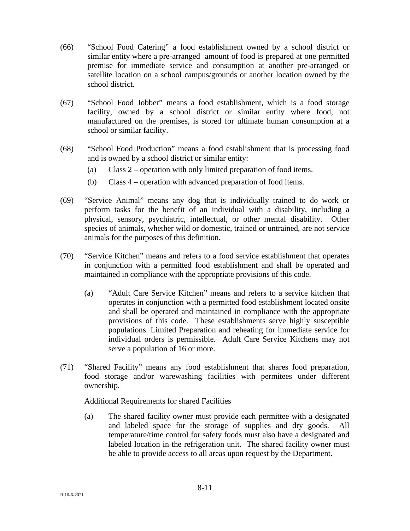- (66) "School Food Catering" a food establishment owned by a school district or similar entity where a pre-arranged amount of food is prepared at one permitted premise for immediate service and consumption at another pre-arranged or satellite location on a school campus/grounds or another location owned by the school district.
- (67) "School Food Jobber" means a food establishment, which is a food storage facility, owned by a school district or similar entity where food, not manufactured on the premises, is stored for ultimate human consumption at a school or similar facility.
- (68) "School Food Production" means a food establishment that is processing food and is owned by a school district or similar entity:
	- (a) Class 2 operation with only limited preparation of food items.
	- (b) Class 4 operation with advanced preparation of food items.
- (69) "Service Animal" means any dog that is individually trained to do work or perform tasks for the benefit of an individual with a disability, including a physical, sensory, psychiatric, intellectual, or other mental disability. Other species of animals, whether wild or domestic, trained or untrained, are not service animals for the purposes of this definition.
- (70) "Service Kitchen" means and refers to a food service establishment that operates in conjunction with a permitted food establishment and shall be operated and maintained in compliance with the appropriate provisions of this code.
	- (a) "Adult Care Service Kitchen" means and refers to a service kitchen that operates in conjunction with a permitted food establishment located onsite and shall be operated and maintained in compliance with the appropriate provisions of this code. These establishments serve highly susceptible populations. Limited Preparation and reheating for immediate service for individual orders is permissible. Adult Care Service Kitchens may not serve a population of 16 or more.
- (71) "Shared Facility" means any food establishment that shares food preparation, food storage and/or warewashing facilities with permitees under different ownership.

Additional Requirements for shared Facilities

(a) The shared facility owner must provide each permittee with a designated and labeled space for the storage of supplies and dry goods. All temperature/time control for safety foods must also have a designated and labeled location in the refrigeration unit. The shared facility owner must be able to provide access to all areas upon request by the Department.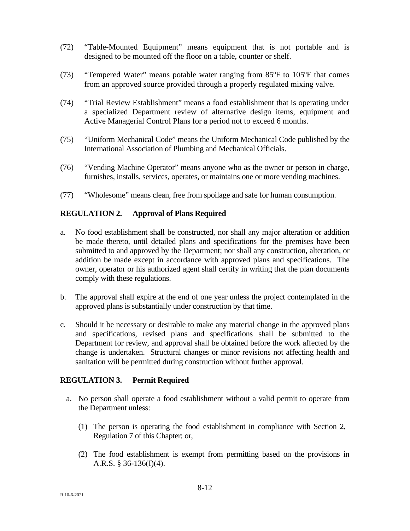- (72) "Table-Mounted Equipment" means equipment that is not portable and is designed to be mounted off the floor on a table, counter or shelf.
- (73) "Tempered Water" means potable water ranging from 85ºF to 105ºF that comes from an approved source provided through a properly regulated mixing valve.
- (74) "Trial Review Establishment" means a food establishment that is operating under a specialized Department review of alternative design items, equipment and Active Managerial Control Plans for a period not to exceed 6 months.
- (75) "Uniform Mechanical Code" means the Uniform Mechanical Code published by the International Association of Plumbing and Mechanical Officials.
- (76) "Vending Machine Operator" means anyone who as the owner or person in charge, furnishes, installs, services, operates, or maintains one or more vending machines.
- (77) "Wholesome" means clean, free from spoilage and safe for human consumption.

# **REGULATION 2. Approval of Plans Required**

- a. No food establishment shall be constructed, nor shall any major alteration or addition be made thereto, until detailed plans and specifications for the premises have been submitted to and approved by the Department; nor shall any construction, alteration, or addition be made except in accordance with approved plans and specifications. The owner, operator or his authorized agent shall certify in writing that the plan documents comply with these regulations.
- b. The approval shall expire at the end of one year unless the project contemplated in the approved plans is substantially under construction by that time.
- c. Should it be necessary or desirable to make any material change in the approved plans and specifications, revised plans and specifications shall be submitted to the Department for review, and approval shall be obtained before the work affected by the change is undertaken. Structural changes or minor revisions not affecting health and sanitation will be permitted during construction without further approval.

## **REGULATION 3. Permit Required**

- a. No person shall operate a food establishment without a valid permit to operate from the Department unless:
	- (1) The person is operating the food establishment in compliance with Section 2, Regulation 7 of this Chapter; or,
	- (2) The food establishment is exempt from permitting based on the provisions in A.R.S. § 36-136(I)(4).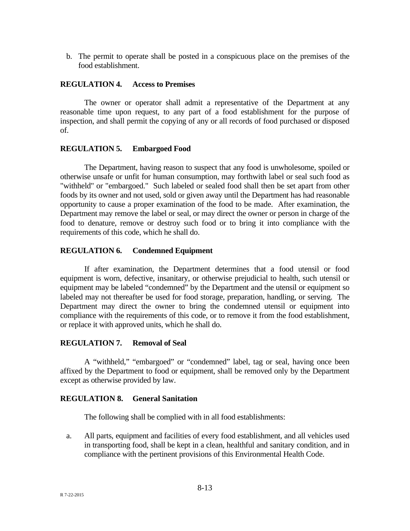b. The permit to operate shall be posted in a conspicuous place on the premises of the food establishment.

### **REGULATION 4. Access to Premises**

The owner or operator shall admit a representative of the Department at any reasonable time upon request, to any part of a food establishment for the purpose of inspection, and shall permit the copying of any or all records of food purchased or disposed of.

### **REGULATION 5. Embargoed Food**

The Department, having reason to suspect that any food is unwholesome, spoiled or otherwise unsafe or unfit for human consumption, may forthwith label or seal such food as "withheld" or "embargoed." Such labeled or sealed food shall then be set apart from other foods by its owner and not used, sold or given away until the Department has had reasonable opportunity to cause a proper examination of the food to be made. After examination, the Department may remove the label or seal, or may direct the owner or person in charge of the food to denature, remove or destroy such food or to bring it into compliance with the requirements of this code, which he shall do.

## **REGULATION 6. Condemned Equipment**

If after examination, the Department determines that a food utensil or food equipment is worn, defective, insanitary, or otherwise prejudicial to health, such utensil or equipment may be labeled "condemned" by the Department and the utensil or equipment so labeled may not thereafter be used for food storage, preparation, handling, or serving. The Department may direct the owner to bring the condemned utensil or equipment into compliance with the requirements of this code, or to remove it from the food establishment, or replace it with approved units, which he shall do.

#### **REGULATION 7. Removal of Seal**

A "withheld," "embargoed" or "condemned" label, tag or seal, having once been affixed by the Department to food or equipment, shall be removed only by the Department except as otherwise provided by law.

## **REGULATION 8. General Sanitation**

The following shall be complied with in all food establishments:

a. All parts, equipment and facilities of every food establishment, and all vehicles used in transporting food, shall be kept in a clean, healthful and sanitary condition, and in compliance with the pertinent provisions of this Environmental Health Code.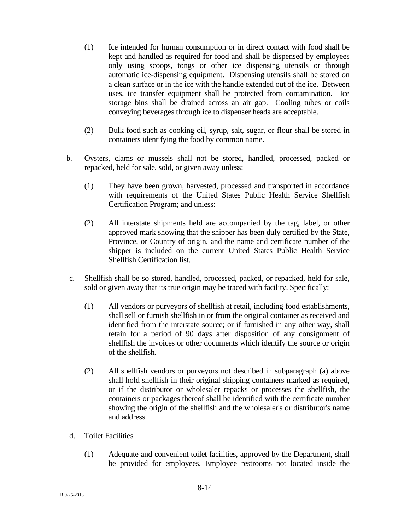- (1) Ice intended for human consumption or in direct contact with food shall be kept and handled as required for food and shall be dispensed by employees only using scoops, tongs or other ice dispensing utensils or through automatic ice-dispensing equipment. Dispensing utensils shall be stored on a clean surface or in the ice with the handle extended out of the ice. Between uses, ice transfer equipment shall be protected from contamination. Ice storage bins shall be drained across an air gap. Cooling tubes or coils conveying beverages through ice to dispenser heads are acceptable.
- (2) Bulk food such as cooking oil, syrup, salt, sugar, or flour shall be stored in containers identifying the food by common name.
- b. Oysters, clams or mussels shall not be stored, handled, processed, packed or repacked, held for sale, sold, or given away unless:
	- (1) They have been grown, harvested, processed and transported in accordance with requirements of the United States Public Health Service Shellfish Certification Program; and unless:
	- (2) All interstate shipments held are accompanied by the tag, label, or other approved mark showing that the shipper has been duly certified by the State, Province, or Country of origin, and the name and certificate number of the shipper is included on the current United States Public Health Service Shellfish Certification list.
- c. Shellfish shall be so stored, handled, processed, packed, or repacked, held for sale, sold or given away that its true origin may be traced with facility. Specifically:
	- (1) All vendors or purveyors of shellfish at retail, including food establishments, shall sell or furnish shellfish in or from the original container as received and identified from the interstate source; or if furnished in any other way, shall retain for a period of 90 days after disposition of any consignment of shellfish the invoices or other documents which identify the source or origin of the shellfish.
	- (2) All shellfish vendors or purveyors not described in subparagraph (a) above shall hold shellfish in their original shipping containers marked as required, or if the distributor or wholesaler repacks or processes the shellfish, the containers or packages thereof shall be identified with the certificate number showing the origin of the shellfish and the wholesaler's or distributor's name and address.
- d. Toilet Facilities
	- (1) Adequate and convenient toilet facilities, approved by the Department, shall be provided for employees. Employee restrooms not located inside the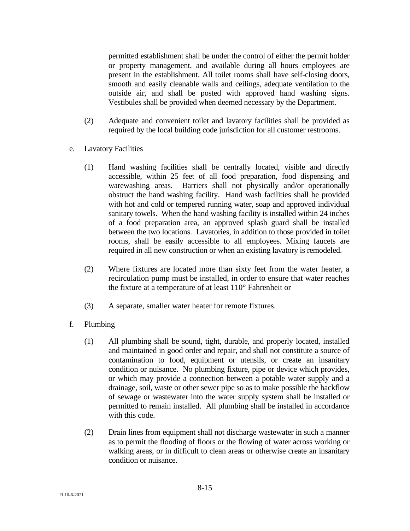permitted establishment shall be under the control of either the permit holder or property management, and available during all hours employees are present in the establishment. All toilet rooms shall have self-closing doors, smooth and easily cleanable walls and ceilings, adequate ventilation to the outside air, and shall be posted with approved hand washing signs. Vestibules shall be provided when deemed necessary by the Department.

- (2) Adequate and convenient toilet and lavatory facilities shall be provided as required by the local building code jurisdiction for all customer restrooms.
- e. Lavatory Facilities
	- (1) Hand washing facilities shall be centrally located, visible and directly accessible, within 25 feet of all food preparation, food dispensing and warewashing areas. Barriers shall not physically and/or operationally obstruct the hand washing facility. Hand wash facilities shall be provided with hot and cold or tempered running water, soap and approved individual sanitary towels. When the hand washing facility is installed within 24 inches of a food preparation area, an approved splash guard shall be installed between the two locations. Lavatories, in addition to those provided in toilet rooms, shall be easily accessible to all employees. Mixing faucets are required in all new construction or when an existing lavatory is remodeled.
	- (2) Where fixtures are located more than sixty feet from the water heater, a recirculation pump must be installed, in order to ensure that water reaches the fixture at a temperature of at least 110° Fahrenheit or
	- (3) A separate, smaller water heater for remote fixtures.
- f. Plumbing
	- (1) All plumbing shall be sound, tight, durable, and properly located, installed and maintained in good order and repair, and shall not constitute a source of contamination to food, equipment or utensils, or create an insanitary condition or nuisance. No plumbing fixture, pipe or device which provides, or which may provide a connection between a potable water supply and a drainage, soil, waste or other sewer pipe so as to make possible the backflow of sewage or wastewater into the water supply system shall be installed or permitted to remain installed. All plumbing shall be installed in accordance with this code.
	- (2) Drain lines from equipment shall not discharge wastewater in such a manner as to permit the flooding of floors or the flowing of water across working or walking areas, or in difficult to clean areas or otherwise create an insanitary condition or nuisance.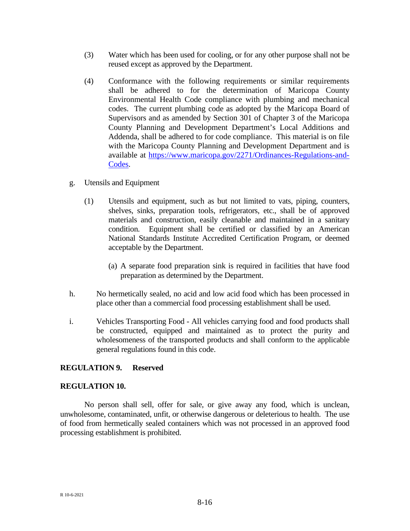- (3) Water which has been used for cooling, or for any other purpose shall not be reused except as approved by the Department.
- (4) Conformance with the following requirements or similar requirements shall be adhered to for the determination of Maricopa County Environmental Health Code compliance with plumbing and mechanical codes. The current plumbing code as adopted by the Maricopa Board of Supervisors and as amended by Section 301 of Chapter 3 of the Maricopa County Planning and Development Department's Local Additions and Addenda, shall be adhered to for code compliance. This material is on file with the Maricopa County Planning and Development Department and is available at [https://www.maricopa.gov/2271/Ordinances-Regulations-and-](https://www.maricopa.gov/2271/Ordinances-Regulations-and-Codes)[Codes.](https://www.maricopa.gov/2271/Ordinances-Regulations-and-Codes)
- g. Utensils and Equipment
	- (1) Utensils and equipment, such as but not limited to vats, piping, counters, shelves, sinks, preparation tools, refrigerators, etc., shall be of approved materials and construction, easily cleanable and maintained in a sanitary condition. Equipment shall be certified or classified by an American National Standards Institute Accredited Certification Program, or deemed acceptable by the Department.
		- (a) A separate food preparation sink is required in facilities that have food preparation as determined by the Department.
- h. No hermetically sealed, no acid and low acid food which has been processed in place other than a commercial food processing establishment shall be used.
- i. Vehicles Transporting Food All vehicles carrying food and food products shall be constructed, equipped and maintained as to protect the purity and wholesomeness of the transported products and shall conform to the applicable general regulations found in this code.

#### **REGULATION 9. Reserved**

#### **REGULATION 10.**

No person shall sell, offer for sale, or give away any food, which is unclean, unwholesome, contaminated, unfit, or otherwise dangerous or deleterious to health. The use of food from hermetically sealed containers which was not processed in an approved food processing establishment is prohibited.